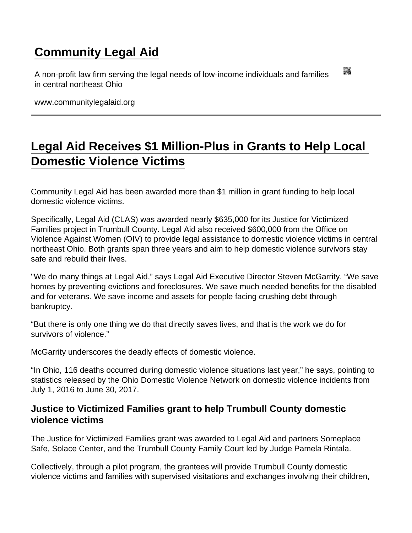## [Community Legal Aid](https://www.communitylegalaid.org/)

A non-profit law firm serving the legal needs of low-income individuals and families in central northeast Ohio

www.communitylegalaid.org

## [Legal Aid Receives \\$1 Million-Plus in Grants to Help Local](https://www.communitylegalaid.org/node/877/legal-aid-receives-1-million-plus-grants-help-local-domestic-violence-victims)  [Domestic Violence Victims](https://www.communitylegalaid.org/node/877/legal-aid-receives-1-million-plus-grants-help-local-domestic-violence-victims)

Community Legal Aid has been awarded more than \$1 million in grant funding to help local domestic violence victims.

Specifically, Legal Aid (CLAS) was awarded nearly \$635,000 for its Justice for Victimized Families project in Trumbull County. Legal Aid also received \$600,000 from the Office on Violence Against Women (OIV) to provide legal assistance to domestic violence victims in central northeast Ohio. Both grants span three years and aim to help domestic violence survivors stay safe and rebuild their lives.

"We do many things at Legal Aid," says Legal Aid Executive Director Steven McGarrity. "We save homes by preventing evictions and foreclosures. We save much needed benefits for the disabled and for veterans. We save income and assets for people facing crushing debt through bankruptcy.

"But there is only one thing we do that directly saves lives, and that is the work we do for survivors of violence."

McGarrity underscores the deadly effects of domestic violence.

"In Ohio, 116 deaths occurred during domestic violence situations last year," he says, pointing to statistics released by the Ohio Domestic Violence Network on domestic violence incidents from July 1, 2016 to June 30, 2017.

Justice to Victimized Families grant to help Trumbull County domestic violence victims

The Justice for Victimized Families grant was awarded to Legal Aid and partners Someplace Safe, Solace Center, and the Trumbull County Family Court led by Judge Pamela Rintala.

Collectively, through a pilot program, the grantees will provide Trumbull County domestic violence victims and families with supervised visitations and exchanges involving their children,